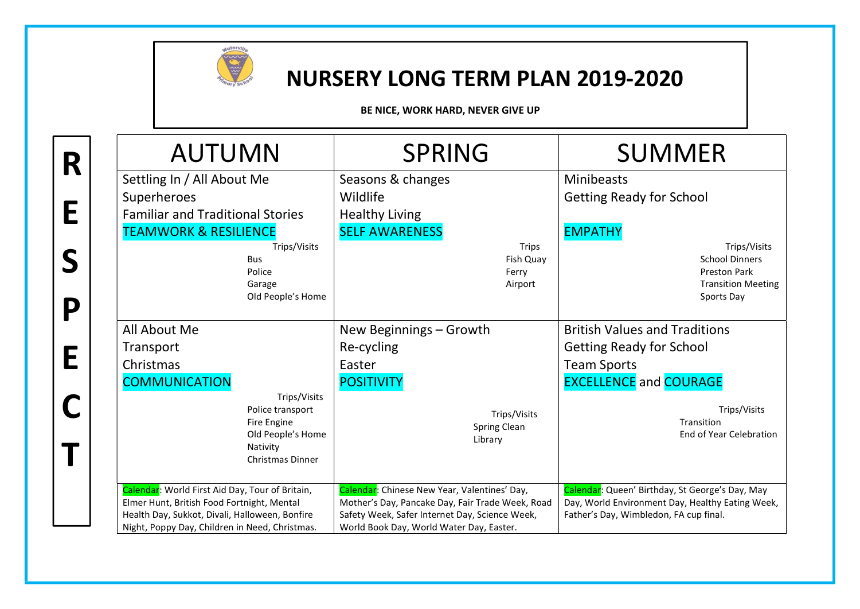

R

E

S

P

E

C

T

## NURSERY LONG TERM PLAN 2019-2020

BE NICE, WORK HARD, NEVER GIVE UP

| <b>AUTUMN</b>                                                                                                                                   | <b>SPRING</b>                                                                                                                                      | <b>SUMMER</b>                                                                                                                                 |  |
|-------------------------------------------------------------------------------------------------------------------------------------------------|----------------------------------------------------------------------------------------------------------------------------------------------------|-----------------------------------------------------------------------------------------------------------------------------------------------|--|
| Settling In / All About Me                                                                                                                      | Seasons & changes                                                                                                                                  | <b>Minibeasts</b>                                                                                                                             |  |
| Superheroes                                                                                                                                     | Wildlife                                                                                                                                           | <b>Getting Ready for School</b>                                                                                                               |  |
| <b>Familiar and Traditional Stories</b>                                                                                                         | <b>Healthy Living</b>                                                                                                                              |                                                                                                                                               |  |
| <b>TEAMWORK &amp; RESILIENCE</b>                                                                                                                | <b>SELF AWARENESS</b>                                                                                                                              | <b>EMPATHY</b>                                                                                                                                |  |
| Trips/Visits<br><b>Bus</b><br>Police<br>Garage<br>Old People's Home                                                                             | <b>Trips</b><br>Fish Quay<br>Ferry<br>Airport                                                                                                      | Trips/Visits<br><b>School Dinners</b><br>Preston Park<br><b>Transition Meeting</b><br>Sports Day                                              |  |
| All About Me                                                                                                                                    | New Beginnings - Growth                                                                                                                            | <b>British Values and Traditions</b>                                                                                                          |  |
| Transport                                                                                                                                       | Re-cycling                                                                                                                                         | <b>Getting Ready for School</b>                                                                                                               |  |
| Christmas                                                                                                                                       | Easter                                                                                                                                             | <b>Team Sports</b>                                                                                                                            |  |
| <b>COMMUNICATION</b>                                                                                                                            | <b>POSITIVITY</b>                                                                                                                                  | <b>EXCELLENCE and COURAGE</b>                                                                                                                 |  |
| Trips/Visits<br>Police transport<br>Fire Engine<br>Old People's Home<br>Nativity<br>Christmas Dinner                                            | Trips/Visits<br>Spring Clean<br>Library                                                                                                            | Trips/Visits<br>Transition<br>End of Year Celebration                                                                                         |  |
| Calendar: World First Aid Day, Tour of Britain,<br>Elmer Hunt, British Food Fortnight, Mental<br>Health Day, Sukkot, Divali, Halloween, Bonfire | Calendar: Chinese New Year, Valentines' Day,<br>Mother's Day, Pancake Day, Fair Trade Week, Road<br>Safety Week, Safer Internet Day, Science Week, | Calendar: Queen' Birthday, St George's Day, May<br>Day, World Environment Day, Healthy Eating Week,<br>Father's Day, Wimbledon, FA cup final. |  |
| Night, Poppy Day, Children in Need, Christmas.                                                                                                  | World Book Day, World Water Day, Easter.                                                                                                           |                                                                                                                                               |  |